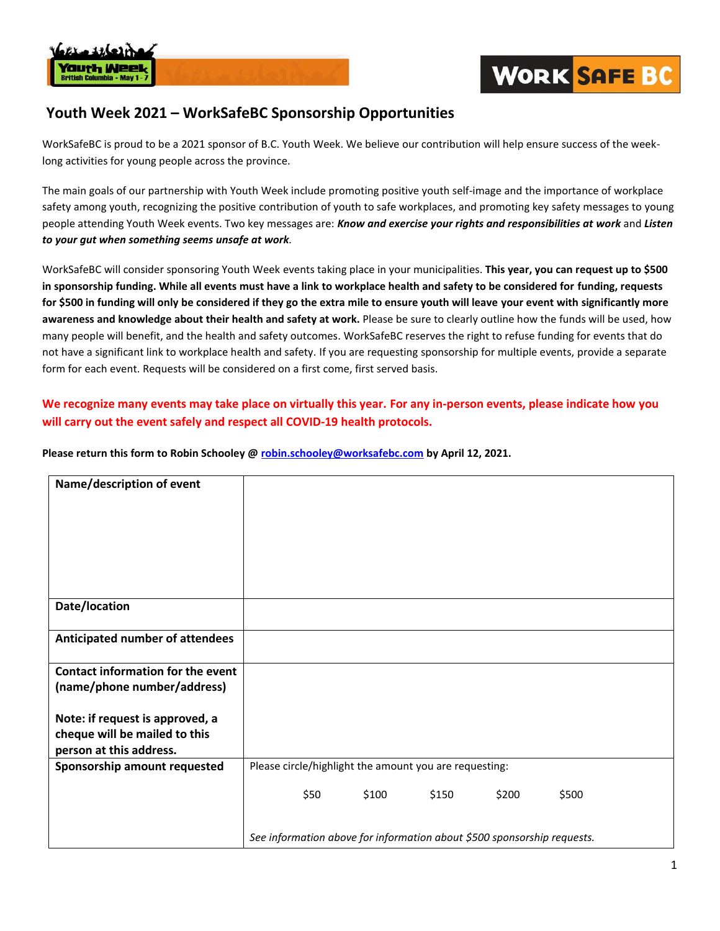

## **WORK SAFE BC**

## **Youth Week 2021 – WorkSafeBC Sponsorship Opportunities**

WorkSafeBC is proud to be a 2021 sponsor of B.C. Youth Week. We believe our contribution will help ensure success of the weeklong activities for young people across the province.

The main goals of our partnership with Youth Week include promoting positive youth self-image and the importance of workplace safety among youth, recognizing the positive contribution of youth to safe workplaces, and promoting key safety messages to young people attending Youth Week events. Two key messages are: *Know and exercise your rights and responsibilities at work* and *Listen to your gut when something seems unsafe at work.* 

WorkSafeBC will consider sponsoring Youth Week events taking place in your municipalities. **This year, you can request up to \$500 in sponsorship funding. While all events must have a link to workplace health and safety to be considered for funding, requests for \$500 in funding will only be considered if they go the extra mile to ensure youth will leave your event with significantly more awareness and knowledge about their health and safety at work.** Please be sure to clearly outline how the funds will be used, how many people will benefit, and the health and safety outcomes. WorkSafeBC reserves the right to refuse funding for events that do not have a significant link to workplace health and safety. If you are requesting sponsorship for multiple events, provide a separate form for each event. Requests will be considered on a first come, first served basis.

## **We recognize many events may take place on virtually this year. For any in-person events, please indicate how you will carry out the event safely and respect all COVID-19 health protocols.**

**Please return this form to Robin Schooley @ [robin.schooley@worksafebc.com](mailto:robin.schooley@worksafebc.com) by April 12, 2021.**

| Name/description of event                |                                                                         |       |       |       |       |
|------------------------------------------|-------------------------------------------------------------------------|-------|-------|-------|-------|
|                                          |                                                                         |       |       |       |       |
|                                          |                                                                         |       |       |       |       |
|                                          |                                                                         |       |       |       |       |
|                                          |                                                                         |       |       |       |       |
|                                          |                                                                         |       |       |       |       |
| Date/location                            |                                                                         |       |       |       |       |
| Anticipated number of attendees          |                                                                         |       |       |       |       |
| <b>Contact information for the event</b> |                                                                         |       |       |       |       |
| (name/phone number/address)              |                                                                         |       |       |       |       |
| Note: if request is approved, a          |                                                                         |       |       |       |       |
| cheque will be mailed to this            |                                                                         |       |       |       |       |
| person at this address.                  |                                                                         |       |       |       |       |
| Sponsorship amount requested             | Please circle/highlight the amount you are requesting:                  |       |       |       |       |
|                                          | \$50                                                                    | \$100 | \$150 | \$200 | \$500 |
|                                          |                                                                         |       |       |       |       |
|                                          | See information above for information about \$500 sponsorship requests. |       |       |       |       |